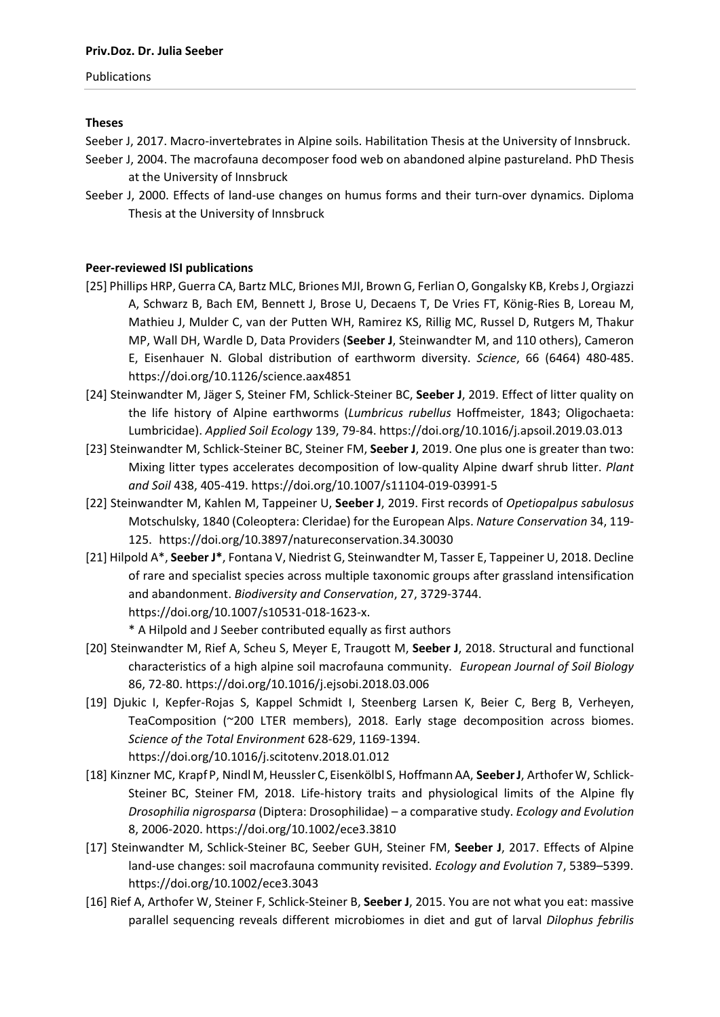### Publications

# **Theses**

Seeber J, 2017. Macro-invertebrates in Alpine soils. Habilitation Thesis at the University of Innsbruck.

- Seeber J, 2004. The macrofauna decomposer food web on abandoned alpine pastureland. PhD Thesis at the University of Innsbruck
- Seeber J, 2000. Effects of land-use changes on humus forms and their turn-over dynamics. Diploma Thesis at the University of Innsbruck

# **Peer‐reviewed ISI publications**

- [25] Phillips HRP, Guerra CA, Bartz MLC, Briones MJI, Brown G, Ferlian O, Gongalsky KB, KrebsJ, Orgiazzi A, Schwarz B, Bach EM, Bennett J, Brose U, Decaens T, De Vries FT, König‐Ries B, Loreau M, Mathieu J, Mulder C, van der Putten WH, Ramirez KS, Rillig MC, Russel D, Rutgers M, Thakur MP, Wall DH, Wardle D, Data Providers (**Seeber J**, Steinwandter M, and 110 others), Cameron E, Eisenhauer N. Global distribution of earthworm diversity. *Science*, 66 (6464) 480‐485. https://doi.org/10.1126/science.aax4851
- [24] Steinwandter M, Jäger S, Steiner FM, Schlick‐Steiner BC, **Seeber J**, 2019. Effect of litter quality on the life history of Alpine earthworms (*Lumbricus rubellus* Hoffmeister, 1843; Oligochaeta: Lumbricidae). *Applied Soil Ecology* 139, 79‐84. https://doi.org/10.1016/j.apsoil.2019.03.013
- [23] Steinwandter M, Schlick‐Steiner BC, Steiner FM, **Seeber J**, 2019. One plus one is greater than two: Mixing litter types accelerates decomposition of low‐quality Alpine dwarf shrub litter. *Plant and Soil* 438, 405‐419. https://doi.org/10.1007/s11104‐019‐03991‐5
- [22] Steinwandter M, Kahlen M, Tappeiner U, **Seeber J**, 2019. First records of *Opetiopalpus sabulosus* Motschulsky, 1840 (Coleoptera: Cleridae) for the European Alps. *Nature Conservation* 34, 119‐ 125. https://doi.org/10.3897/natureconservation.34.30030
- [21] Hilpold A\*, **Seeber J\***, Fontana V, Niedrist G, Steinwandter M, Tasser E, Tappeiner U, 2018. Decline of rare and specialist species across multiple taxonomic groups after grassland intensification and abandonment. *Biodiversity and Conservation*, 27, 3729‐3744. https://doi.org/10.1007/s10531‐018‐1623‐x.

\* A Hilpold and J Seeber contributed equally as first authors

- [20] Steinwandter M, Rief A, Scheu S, Meyer E, Traugott M, **Seeber J**, 2018. Structural and functional characteristics of a high alpine soil macrofauna community. *European Journal of Soil Biology* 86, 72‐80. https://doi.org/10.1016/j.ejsobi.2018.03.006
- [19] Djukic I, Kepfer‐Rojas S, Kappel Schmidt I, Steenberg Larsen K, Beier C, Berg B, Verheyen, TeaComposition (~200 LTER members), 2018. Early stage decomposition across biomes. *Science of the Total Environment* 628‐629, 1169‐1394. https://doi.org/10.1016/j.scitotenv.2018.01.012
- [18] Kinzner MC, Krapf P, Nindl M,Heussler C, Eisenkölbl S, HoffmannAA, **SeeberJ**, ArthoferW, Schlick‐ Steiner BC, Steiner FM, 2018. Life-history traits and physiological limits of the Alpine fly *Drosophilia nigrosparsa* (Diptera: Drosophilidae) – a comparative study. *Ecology and Evolution* 8, 2006‐2020. https://doi.org/10.1002/ece3.3810
- [17] Steinwandter M, Schlick‐Steiner BC, Seeber GUH, Steiner FM, **Seeber J**, 2017. Effects of Alpine land‐use changes: soil macrofauna community revisited. *Ecology and Evolution* 7, 5389–5399. https://doi.org/10.1002/ece3.3043
- [16] Rief A, Arthofer W, Steiner F, Schlick‐Steiner B, **Seeber J**, 2015. You are not what you eat: massive parallel sequencing reveals different microbiomes in diet and gut of larval *Dilophus febrilis*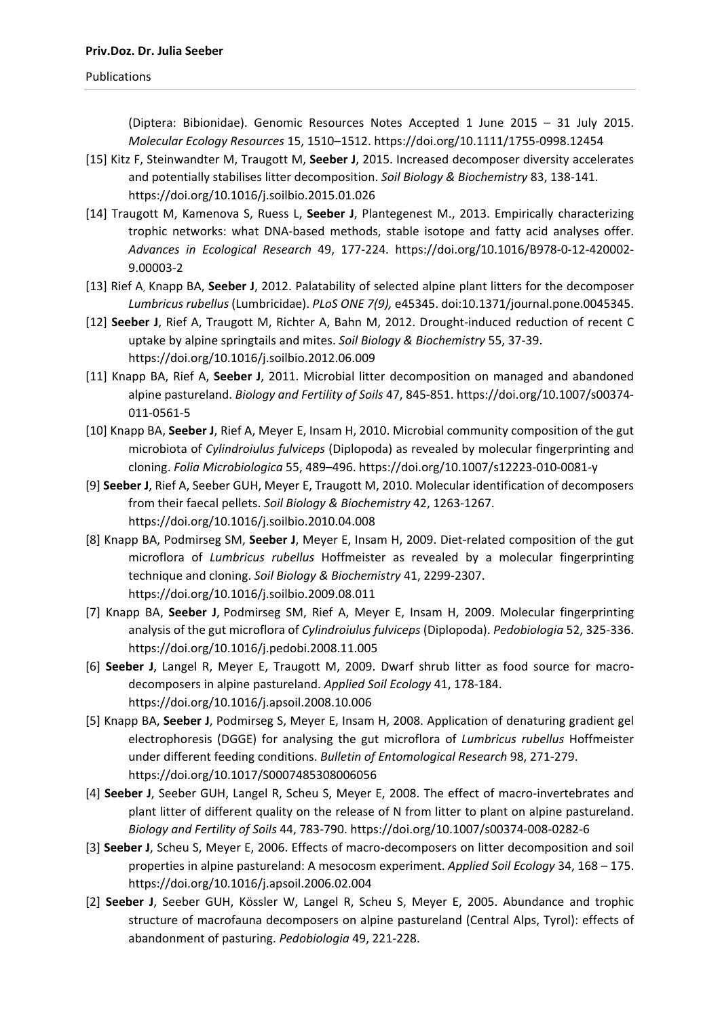(Diptera: Bibionidae). Genomic Resources Notes Accepted 1 June 2015 – 31 July 2015. *Molecular Ecology Resources* 15, 1510–1512. https://doi.org/10.1111/1755‐0998.12454

- [15] Kitz F, Steinwandter M, Traugott M, **Seeber J**, 2015. Increased decomposer diversity accelerates and potentially stabilises litter decomposition. *Soil Biology & Biochemistry* 83, 138‐141. https://doi.org/10.1016/j.soilbio.2015.01.026
- [14] Traugott M, Kamenova S, Ruess L, **Seeber J**, Plantegenest M., 2013. Empirically characterizing trophic networks: what DNA‐based methods, stable isotope and fatty acid analyses offer. *Advances in Ecological Research* 49, 177‐224. https://doi.org/10.1016/B978‐0‐12‐420002‐ 9.00003‐2
- [13] Rief A, Knapp BA, **Seeber J**, 2012. Palatability of selected alpine plant litters for the decomposer *Lumbricus rubellus* (Lumbricidae). *PLoS ONE 7(9),* e45345. doi:10.1371/journal.pone.0045345.
- [12] **Seeber J**, Rief A, Traugott M, Richter A, Bahn M, 2012. Drought‐induced reduction of recent C uptake by alpine springtails and mites. *Soil Biology & Biochemistry* 55, 37‐39. https://doi.org/10.1016/j.soilbio.2012.06.009
- [11] Knapp BA, Rief A, **Seeber J**, 2011. Microbial litter decomposition on managed and abandoned alpine pastureland. *Biology and Fertility of Soils* 47, 845‐851. https://doi.org/10.1007/s00374‐ 011‐0561‐5
- [10] Knapp BA, **Seeber J**, Rief A, Meyer E, Insam H, 2010. Microbial community composition of the gut microbiota of *Cylindroiulus fulviceps* (Diplopoda) as revealed by molecular fingerprinting and cloning. *Folia Microbiologica* 55, 489–496. https://doi.org/10.1007/s12223‐010‐0081‐y
- [9] **Seeber J**, Rief A, Seeber GUH, Meyer E, Traugott M, 2010. Molecular identification of decomposers from their faecal pellets. *Soil Biology & Biochemistry* 42, 1263‐1267. https://doi.org/10.1016/j.soilbio.2010.04.008
- [8] Knapp BA, Podmirseg SM, **Seeber J**, Meyer E, Insam H, 2009. Diet‐related composition of the gut microflora of *Lumbricus rubellus* Hoffmeister as revealed by a molecular fingerprinting technique and cloning. *Soil Biology & Biochemistry* 41, 2299‐2307. https://doi.org/10.1016/j.soilbio.2009.08.011
- [7] Knapp BA, **Seeber J**, Podmirseg SM, Rief A, Meyer E, Insam H, 2009. Molecular fingerprinting analysis of the gut microflora of *Cylindroiulus fulviceps* (Diplopoda). *Pedobiologia* 52, 325‐336. https://doi.org/10.1016/j.pedobi.2008.11.005
- [6] **Seeber J**, Langel R, Meyer E, Traugott M, 2009. Dwarf shrub litter as food source for macro‐ decomposers in alpine pastureland. *Applied Soil Ecology* 41, 178‐184. https://doi.org/10.1016/j.apsoil.2008.10.006
- [5] Knapp BA, **Seeber J**, Podmirseg S, Meyer E, Insam H, 2008. Application of denaturing gradient gel electrophoresis (DGGE) for analysing the gut microflora of *Lumbricus rubellus* Hoffmeister under different feeding conditions. *Bulletin of Entomological Research* 98, 271‐279. https://doi.org/10.1017/S0007485308006056
- [4] **Seeber J**, Seeber GUH, Langel R, Scheu S, Meyer E, 2008. The effect of macro‐invertebrates and plant litter of different quality on the release of N from litter to plant on alpine pastureland. *Biology and Fertility of Soils* 44, 783‐790. https://doi.org/10.1007/s00374‐008‐0282‐6
- [3] **Seeber J**, Scheu S, Meyer E, 2006. Effects of macro‐decomposers on litter decomposition and soil properties in alpine pastureland: A mesocosm experiment. *Applied Soil Ecology* 34, 168 – 175. https://doi.org/10.1016/j.apsoil.2006.02.004
- [2] **Seeber J**, Seeber GUH, Kössler W, Langel R, Scheu S, Meyer E, 2005. Abundance and trophic structure of macrofauna decomposers on alpine pastureland (Central Alps, Tyrol): effects of abandonment of pasturing. *Pedobiologia* 49, 221‐228.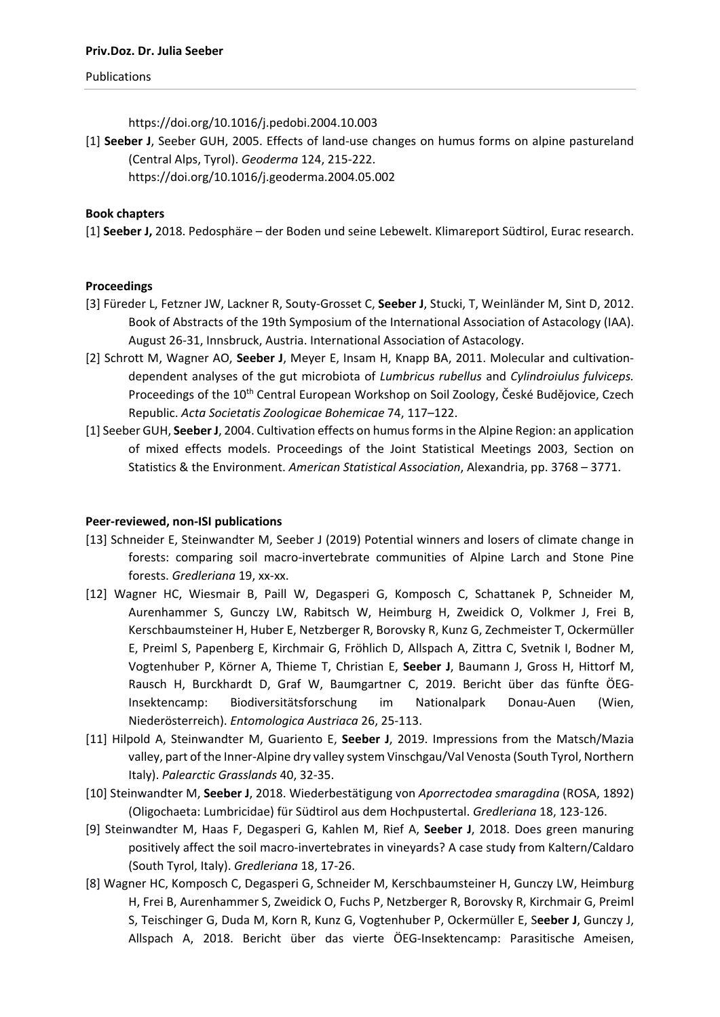#### Publications

https://doi.org/10.1016/j.pedobi.2004.10.003

[1] **Seeber J**, Seeber GUH, 2005. Effects of land‐use changes on humus forms on alpine pastureland (Central Alps, Tyrol). *Geoderma* 124, 215‐222. https://doi.org/10.1016/j.geoderma.2004.05.002

## **Book chapters**

[1] **Seeber J,** 2018. Pedosphäre – der Boden und seine Lebewelt. Klimareport Südtirol, Eurac research.

## **Proceedings**

- [3] Füreder L, Fetzner JW, Lackner R, Souty‐Grosset C, **Seeber J**, Stucki, T, Weinländer M, Sint D, 2012. Book of Abstracts of the 19th Symposium of the International Association of Astacology (IAA). August 26‐31, Innsbruck, Austria. International Association of Astacology.
- [2] Schrott M, Wagner AO, **Seeber J**, Meyer E, Insam H, Knapp BA, 2011. Molecular and cultivation‐ dependent analyses of the gut microbiota of *Lumbricus rubellus* and *Cylindroiulus fulviceps.* Proceedings of the 10<sup>th</sup> Central European Workshop on Soil Zoology, České Budějovice, Czech Republic. *Acta Societatis Zoologicae Bohemicae* 74, 117–122.
- [1] Seeber GUH, **SeeberJ**, 2004. Cultivation effects on humusformsin the Alpine Region: an application of mixed effects models. Proceedings of the Joint Statistical Meetings 2003, Section on Statistics & the Environment. *American Statistical Association*, Alexandria, pp. 3768 – 3771.

### **Peer‐reviewed, non‐ISI publications**

- [13] Schneider E, Steinwandter M, Seeber J (2019) Potential winners and losers of climate change in forests: comparing soil macro‐invertebrate communities of Alpine Larch and Stone Pine forests. *Gredleriana* 19, xx‐xx.
- [12] Wagner HC, Wiesmair B, Paill W, Degasperi G, Komposch C, Schattanek P, Schneider M, Aurenhammer S, Gunczy LW, Rabitsch W, Heimburg H, Zweidick O, Volkmer J, Frei B, Kerschbaumsteiner H, Huber E, Netzberger R, Borovsky R, Kunz G, Zechmeister T, Ockermüller E, Preiml S, Papenberg E, Kirchmair G, Fröhlich D, Allspach A, Zittra C, Svetnik I, Bodner M, Vogtenhuber P, Körner A, Thieme T, Christian E, **Seeber J**, Baumann J, Gross H, Hittorf M, Rausch H, Burckhardt D, Graf W, Baumgartner C, 2019. Bericht über das fünfte ÖEG‐ Insektencamp: Biodiversitätsforschung im Nationalpark Donau‐Auen (Wien, Niederösterreich). *Entomologica Austriaca* 26, 25‐113.
- [11] Hilpold A, Steinwandter M, Guariento E, **Seeber J**, 2019. Impressions from the Matsch/Mazia valley, part of the Inner‐Alpine dry valley system Vinschgau/Val Venosta (South Tyrol, Northern Italy). *Palearctic Grasslands* 40, 32‐35.
- [10] Steinwandter M, **Seeber J**, 2018. Wiederbestätigung von *Aporrectodea smaragdina* (ROSA, 1892) (Oligochaeta: Lumbricidae) für Südtirol aus dem Hochpustertal. *Gredleriana* 18, 123‐126.
- [9] Steinwandter M, Haas F, Degasperi G, Kahlen M, Rief A, **Seeber J**, 2018. Does green manuring positively affect the soil macro‐invertebrates in vineyards? A case study from Kaltern/Caldaro (South Tyrol, Italy). *Gredleriana* 18, 17‐26.
- [8] Wagner HC, Komposch C, Degasperi G, Schneider M, Kerschbaumsteiner H, Gunczy LW, Heimburg H, Frei B, Aurenhammer S, Zweidick O, Fuchs P, Netzberger R, Borovsky R, Kirchmair G, Preiml S, Teischinger G, Duda M, Korn R, Kunz G, Vogtenhuber P, Ockermüller E, S**eeber J**, Gunczy J, Allspach A, 2018. Bericht über das vierte ÖEG‐Insektencamp: Parasitische Ameisen,